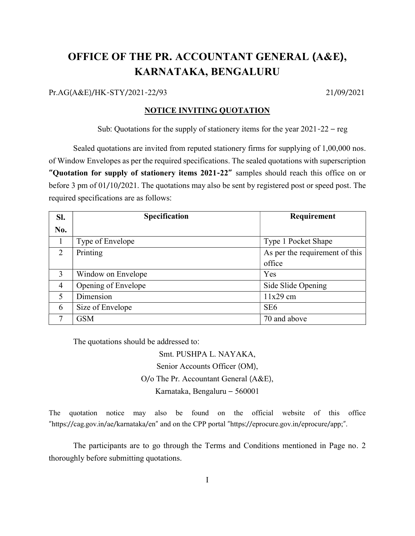# OFFICE OF THE PR. ACCOUNTANT GENERAL (A&E), KARNATAKA, BENGALURU

Pr.AG(A&E)/HK-STY/2021-22/93 21/09/2021

#### NOTICE INVITING QUOTATION

Sub: Quotations for the supply of stationery items for the year 2021-22 – reg

 Sealed quotations are invited from reputed stationery firms for supplying of 1,00,000 nos. of Window Envelopes as per the required specifications. The sealed quotations with superscription "Quotation for supply of stationery items 2021-22" samples should reach this office on or before 3 pm of 01/10/2021. The quotations may also be sent by registered post or speed post. The required specifications are as follows:

| SI.            | Specification       | Requirement                    |
|----------------|---------------------|--------------------------------|
| No.            |                     |                                |
|                | Type of Envelope    | Type 1 Pocket Shape            |
| 2              | Printing            | As per the requirement of this |
|                |                     | office                         |
| 3              | Window on Envelope  | Yes                            |
| $\overline{4}$ | Opening of Envelope | Side Slide Opening             |
| $\mathcal{F}$  | Dimension           | $11x29$ cm                     |
| 6              | Size of Envelope    | SE <sub>6</sub>                |
|                | <b>GSM</b>          | 70 and above                   |

The quotations should be addressed to:

Smt. PUSHPA L. NAYAKA, Senior Accounts Officer (OM), O/o The Pr. Accountant General (A&E), Karnataka, Bengaluru – 560001

The quotation notice may also be found on the official website of this office "https://cag.gov.in/ae/karnataka/en" and on the CPP portal "https://eprocure.gov.in/eprocure/app;".

 The participants are to go through the Terms and Conditions mentioned in Page no. 2 thoroughly before submitting quotations.